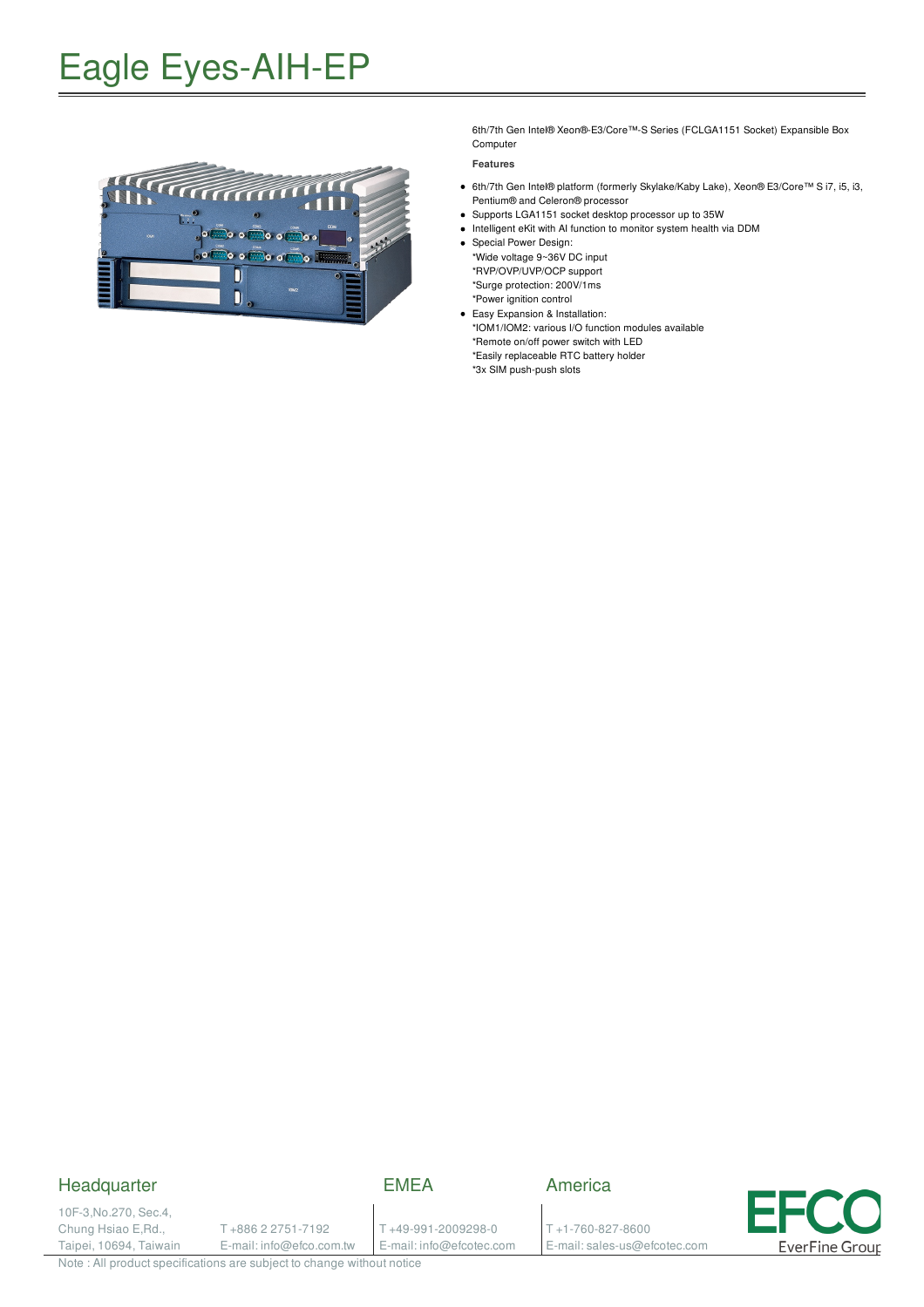### Eagle Eyes-AIH-EP



6th/7th Gen Intel® Xeon®-E3/Core™-S Series (FCLGA1151 Socket) Expansible Box Computer

**Features**

- 6th/7th Gen Intel® platform (formerly Skylake/Kaby Lake), Xeon® E3/Core™ S i7, i5, i3, Pentium® and Celeron® processor
- Supports LGA1151 socket desktop processor up to 35W
- Intelligent eKit with AI function to monitor system health via DDM
- Special Power Design: \*Wide voltage 9~36V DC input \*RVP/OVP/UVP/OCP support \*Surge protection: 200V/1ms \*Power ignition control
- Easy Expansion & Installation: \*IOM1/IOM2: various I/O function modules available \*Remote on/off power switch with LED \*Easily replaceable RTC battery holder \*3x SIM push-push slots

### **Headquarter**

EMEA

America

10F-3,No.270, Sec.4, Chung Hsiao E,Rd., Taipei, 10694, Taiwain

T +886 2 2751-7192 E-mail: info@efco.com.tw T +49-991-2009298-0 E-mail: info@efcotec.com

T +1-760-827-8600 E-mail: sales-us@efcotec.com



Note : All product specifications are subject to change without notice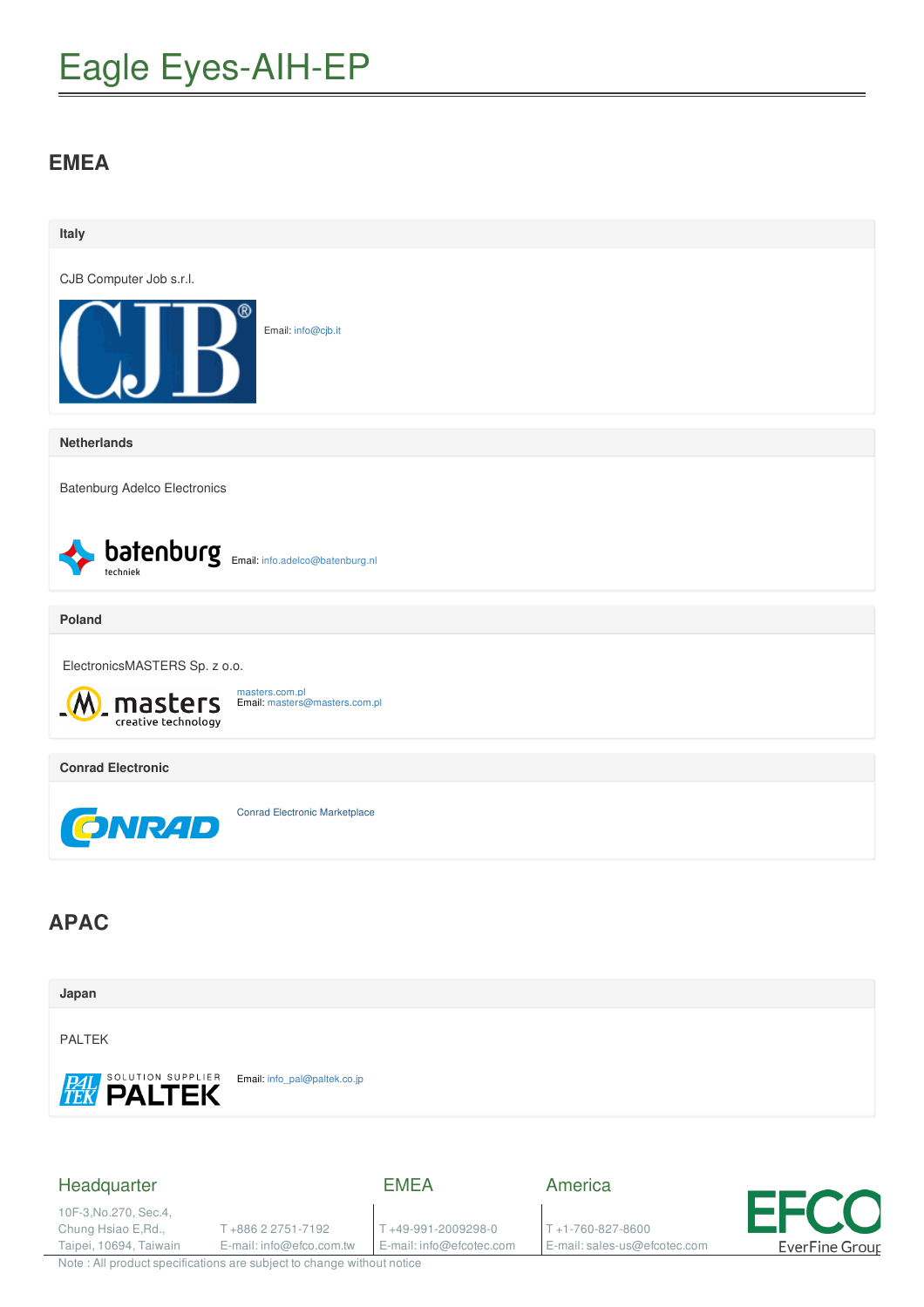# Eagle Eyes-AIH-EP

### **EMEA**



Note : All product specifications are subject to change without notice